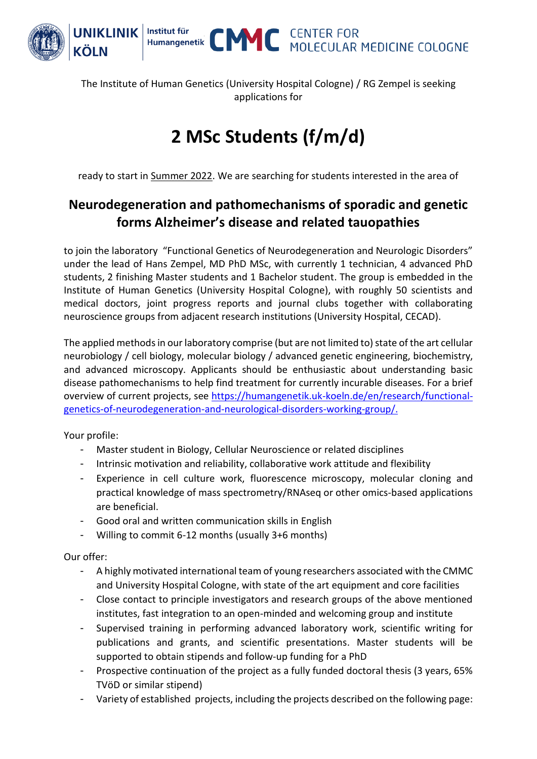

The Institute of Human Genetics (University Hospital Cologne) / RG Zempel is seeking applications for

## **2 MSc Students (f/m/d)**

ready to start in Summer 2022. We are searching for students interested in the area of

## **Neurodegeneration and pathomechanisms of sporadic and genetic forms Alzheimer's disease and related tauopathies**

to join the laboratory "Functional Genetics of Neurodegeneration and Neurologic Disorders" under the lead of Hans Zempel, MD PhD MSc, with currently 1 technician, 4 advanced PhD students, 2 finishing Master students and 1 Bachelor student. The group is embedded in the Institute of Human Genetics (University Hospital Cologne), with roughly 50 scientists and medical doctors, joint progress reports and journal clubs together with collaborating neuroscience groups from adjacent research institutions (University Hospital, CECAD).

The applied methods in our laboratory comprise (but are not limited to) state of the art cellular neurobiology / cell biology, molecular biology / advanced genetic engineering, biochemistry, and advanced microscopy. Applicants should be enthusiastic about understanding basic disease pathomechanisms to help find treatment for currently incurable diseases. For a brief overview of current projects, see [https://humangenetik.uk-koeln.de/en/research/functional](https://humangenetik.uk-koeln.de/en/research/functional-genetics-of-neurodegeneration-and-neurological-disorders-working-group/)[genetics-of-neurodegeneration-and-neurological-disorders-working-group/.](https://humangenetik.uk-koeln.de/en/research/functional-genetics-of-neurodegeneration-and-neurological-disorders-working-group/)

Your profile:

- Master student in Biology, Cellular Neuroscience or related disciplines
- Intrinsic motivation and reliability, collaborative work attitude and flexibility
- Experience in cell culture work, fluorescence microscopy, molecular cloning and practical knowledge of mass spectrometry/RNAseq or other omics-based applications are beneficial.
- Good oral and written communication skills in English
- Willing to commit 6-12 months (usually 3+6 months)

Our offer:

- A highly motivated international team of young researchers associated with the CMMC and University Hospital Cologne, with state of the art equipment and core facilities
- Close contact to principle investigators and research groups of the above mentioned institutes, fast integration to an open-minded and welcoming group and institute
- Supervised training in performing advanced laboratory work, scientific writing for publications and grants, and scientific presentations. Master students will be supported to obtain stipends and follow-up funding for a PhD
- Prospective continuation of the project as a fully funded doctoral thesis (3 years, 65% TVöD or similar stipend)
- Variety of established projects, including the projects described on the following page: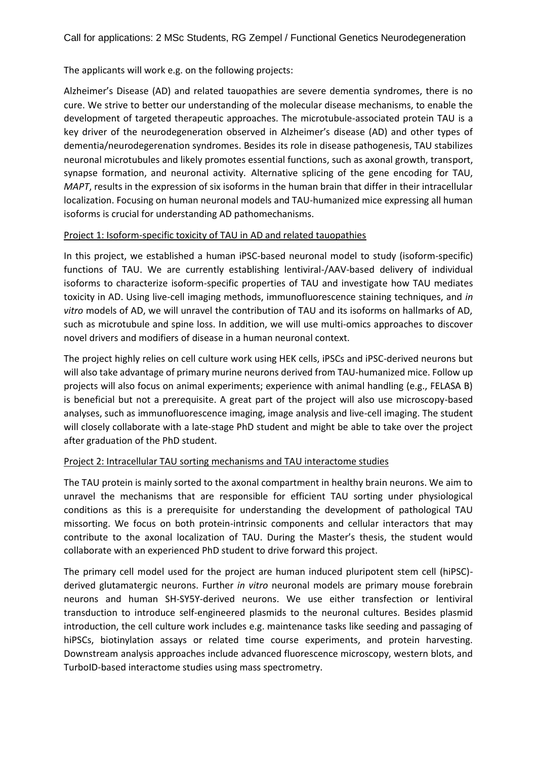The applicants will work e.g. on the following projects:

Alzheimer's Disease (AD) and related tauopathies are severe dementia syndromes, there is no cure. We strive to better our understanding of the molecular disease mechanisms, to enable the development of targeted therapeutic approaches. The microtubule-associated protein TAU is a key driver of the neurodegeneration observed in Alzheimer's disease (AD) and other types of dementia/neurodegerenation syndromes. Besides its role in disease pathogenesis, TAU stabilizes neuronal microtubules and likely promotes essential functions, such as axonal growth, transport, synapse formation, and neuronal activity. Alternative splicing of the gene encoding for TAU, *MAPT*, results in the expression of six isoforms in the human brain that differ in their intracellular localization. Focusing on human neuronal models and TAU-humanized mice expressing all human isoforms is crucial for understanding AD pathomechanisms.

## Project 1: Isoform-specific toxicity of TAU in AD and related tauopathies

In this project, we established a human iPSC-based neuronal model to study (isoform-specific) functions of TAU. We are currently establishing lentiviral-/AAV-based delivery of individual isoforms to characterize isoform-specific properties of TAU and investigate how TAU mediates toxicity in AD. Using live-cell imaging methods, immunofluorescence staining techniques, and *in vitro* models of AD, we will unravel the contribution of TAU and its isoforms on hallmarks of AD, such as microtubule and spine loss. In addition, we will use multi-omics approaches to discover novel drivers and modifiers of disease in a human neuronal context.

The project highly relies on cell culture work using HEK cells, iPSCs and iPSC-derived neurons but will also take advantage of primary murine neurons derived from TAU-humanized mice. Follow up projects will also focus on animal experiments; experience with animal handling (e.g., FELASA B) is beneficial but not a prerequisite. A great part of the project will also use microscopy-based analyses, such as immunofluorescence imaging, image analysis and live-cell imaging. The student will closely collaborate with a late-stage PhD student and might be able to take over the project after graduation of the PhD student.

## Project 2: Intracellular TAU sorting mechanisms and TAU interactome studies

The TAU protein is mainly sorted to the axonal compartment in healthy brain neurons. We aim to unravel the mechanisms that are responsible for efficient TAU sorting under physiological conditions as this is a prerequisite for understanding the development of pathological TAU missorting. We focus on both protein-intrinsic components and cellular interactors that may contribute to the axonal localization of TAU. During the Master's thesis, the student would collaborate with an experienced PhD student to drive forward this project.

The primary cell model used for the project are human induced pluripotent stem cell (hiPSC) derived glutamatergic neurons. Further *in vitro* neuronal models are primary mouse forebrain neurons and human SH-SY5Y-derived neurons. We use either transfection or lentiviral transduction to introduce self-engineered plasmids to the neuronal cultures. Besides plasmid introduction, the cell culture work includes e.g. maintenance tasks like seeding and passaging of hiPSCs, biotinylation assays or related time course experiments, and protein harvesting. Downstream analysis approaches include advanced fluorescence microscopy, western blots, and TurboID-based interactome studies using mass spectrometry.